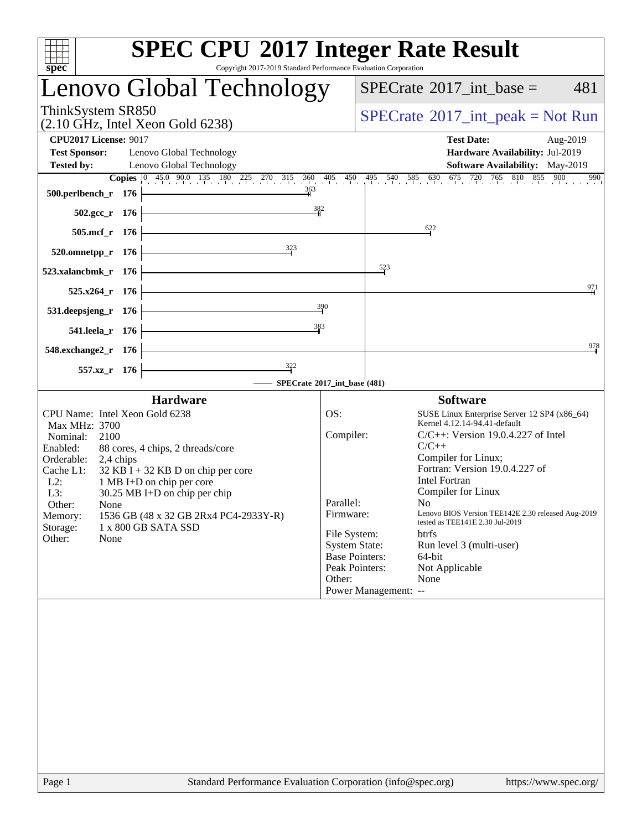| <b>SPEC CPU®2017 Integer Rate Result</b><br>Copyright 2017-2019 Standard Performance Evaluation Corporation<br>$spec^*$                                                                                                                                                                                                                                                                                                           |                                                      |                                                                                                                                                                                                                                                                                                                                                                                                                                                                                                                                                                                 |
|-----------------------------------------------------------------------------------------------------------------------------------------------------------------------------------------------------------------------------------------------------------------------------------------------------------------------------------------------------------------------------------------------------------------------------------|------------------------------------------------------|---------------------------------------------------------------------------------------------------------------------------------------------------------------------------------------------------------------------------------------------------------------------------------------------------------------------------------------------------------------------------------------------------------------------------------------------------------------------------------------------------------------------------------------------------------------------------------|
| Lenovo Global Technology                                                                                                                                                                                                                                                                                                                                                                                                          |                                                      | $SPECTate$ <sup>®</sup> 2017_int_base =<br>481                                                                                                                                                                                                                                                                                                                                                                                                                                                                                                                                  |
| ThinkSystem SR850<br>(2.10 GHz, Intel Xeon Gold 6238)                                                                                                                                                                                                                                                                                                                                                                             |                                                      | $SPECrate^{\circledast}2017\_int\_peak = Not Run$                                                                                                                                                                                                                                                                                                                                                                                                                                                                                                                               |
| <b>CPU2017 License: 9017</b><br><b>Test Sponsor:</b><br>Lenovo Global Technology                                                                                                                                                                                                                                                                                                                                                  |                                                      | <b>Test Date:</b><br>Aug-2019<br>Hardware Availability: Jul-2019                                                                                                                                                                                                                                                                                                                                                                                                                                                                                                                |
| <b>Tested by:</b><br>Lenovo Global Technology                                                                                                                                                                                                                                                                                                                                                                                     |                                                      | <b>Software Availability:</b> May-2019                                                                                                                                                                                                                                                                                                                                                                                                                                                                                                                                          |
| 363<br>500.perlbench_r 176                                                                                                                                                                                                                                                                                                                                                                                                        |                                                      | <b>Copies</b> $\begin{bmatrix} 0 & 45.0 & 90.0 & 135 & 180 & 225 & 270 & 315 & 360 & 405 & 450 & 495 & 540 & 585 & 630 & 675 & 720 & 765 & 810 & 855 & 900 & 990 \end{bmatrix}$                                                                                                                                                                                                                                                                                                                                                                                                 |
| 382<br>502.gcc_r 176                                                                                                                                                                                                                                                                                                                                                                                                              |                                                      |                                                                                                                                                                                                                                                                                                                                                                                                                                                                                                                                                                                 |
| <u> 1989 - Johann Barn, mars ann an t-Amhair an t-Amhair an t-Amhair an t-Amhair an t-Amhair an t-Amhair an t-Amh</u><br>505.mcf_r 176                                                                                                                                                                                                                                                                                            |                                                      | 622                                                                                                                                                                                                                                                                                                                                                                                                                                                                                                                                                                             |
| $520.0$ mnetpp_r 176                                                                                                                                                                                                                                                                                                                                                                                                              |                                                      |                                                                                                                                                                                                                                                                                                                                                                                                                                                                                                                                                                                 |
| <u> 1980 - Johann Barn, mars an t-Amerikaansk politiker (</u><br>523.xalancbmk_r 176                                                                                                                                                                                                                                                                                                                                              |                                                      | 523                                                                                                                                                                                                                                                                                                                                                                                                                                                                                                                                                                             |
| <u> 1980 - Johann Barn, mars an t-Amerikaansk politiker (</u><br>$525.x264$ <sub>r</sub> 176                                                                                                                                                                                                                                                                                                                                      |                                                      | 971                                                                                                                                                                                                                                                                                                                                                                                                                                                                                                                                                                             |
| <u> 1980 - Johann Barbara, martin a</u><br>531.deepsjeng_r 176<br>383                                                                                                                                                                                                                                                                                                                                                             | 390                                                  |                                                                                                                                                                                                                                                                                                                                                                                                                                                                                                                                                                                 |
| <u> 1989 - Johann Barbara, martin a</u><br>541.leela_r 176<br><u> 1989 - Johann Barbara, martxa a</u>                                                                                                                                                                                                                                                                                                                             |                                                      | $\frac{978}{2}$                                                                                                                                                                                                                                                                                                                                                                                                                                                                                                                                                                 |
| 548.exchange2_r 176<br><u> 1989 - Johann Barbara, martxa a</u><br>557.xz_r 176                                                                                                                                                                                                                                                                                                                                                    |                                                      |                                                                                                                                                                                                                                                                                                                                                                                                                                                                                                                                                                                 |
| SPECrate®2017_int_base'(481)                                                                                                                                                                                                                                                                                                                                                                                                      |                                                      |                                                                                                                                                                                                                                                                                                                                                                                                                                                                                                                                                                                 |
| <b>Hardware</b><br>CPU Name: Intel Xeon Gold 6238<br>Max MHz: 3700<br>Nominal:<br>2100<br>Enabled:<br>88 cores, 4 chips, 2 threads/core<br>Orderable:<br>2,4 chips<br>Cache L1:<br>$32$ KB I + 32 KB D on chip per core<br>$L2$ :<br>1 MB I+D on chip per core<br>L3:<br>30.25 MB I+D on chip per chip<br>Other:<br>None<br>1536 GB (48 x 32 GB 2Rx4 PC4-2933Y-R)<br>Memory:<br>Storage:<br>1 x 800 GB SATA SSD<br>Other:<br>None | OS:<br>Compiler:<br>Parallel:<br>Firmware:<br>Other: | <b>Software</b><br>SUSE Linux Enterprise Server 12 SP4 (x86_64)<br>Kernel 4.12.14-94.41-default<br>$C/C++$ : Version 19.0.4.227 of Intel<br>$C/C++$<br>Compiler for Linux;<br>Fortran: Version 19.0.4.227 of<br><b>Intel Fortran</b><br>Compiler for Linux<br>$N_{\Omega}$ and $N_{\Omega}$<br>Lenovo BIOS Version TEE142E 2.30 released Aug-2019<br>tested as TEE141E 2.30 Jul-2019<br>File System:<br><b>btrfs</b><br><b>System State:</b><br>Run level 3 (multi-user)<br><b>Base Pointers:</b><br>64-bit<br>Peak Pointers:<br>Not Applicable<br>None<br>Power Management: -- |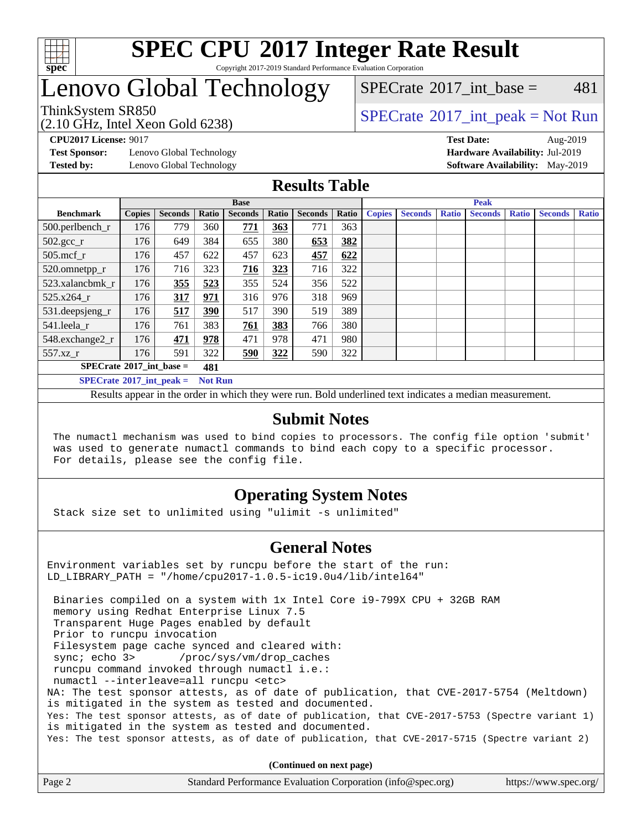

#### **[SPEC CPU](http://www.spec.org/auto/cpu2017/Docs/result-fields.html#SPECCPU2017IntegerRateResult)[2017 Integer Rate Result](http://www.spec.org/auto/cpu2017/Docs/result-fields.html#SPECCPU2017IntegerRateResult)** Copyright 2017-2019 Standard Performance Evaluation Corporation

# Lenovo Global Technology

### [SPECrate](http://www.spec.org/auto/cpu2017/Docs/result-fields.html#SPECrate2017intbase)<sup>®</sup>2017 int base =  $481$

(2.10 GHz, Intel Xeon Gold 6238)

ThinkSystem SR850<br>  $SPECTR_{10}$  [SPECrate](http://www.spec.org/auto/cpu2017/Docs/result-fields.html#SPECrate2017intpeak)®[2017\\_int\\_peak = N](http://www.spec.org/auto/cpu2017/Docs/result-fields.html#SPECrate2017intpeak)ot Run

**[Test Sponsor:](http://www.spec.org/auto/cpu2017/Docs/result-fields.html#TestSponsor)** Lenovo Global Technology **[Hardware Availability:](http://www.spec.org/auto/cpu2017/Docs/result-fields.html#HardwareAvailability)** Jul-2019

**[CPU2017 License:](http://www.spec.org/auto/cpu2017/Docs/result-fields.html#CPU2017License)** 9017 **[Test Date:](http://www.spec.org/auto/cpu2017/Docs/result-fields.html#TestDate)** Aug-2019 **[Tested by:](http://www.spec.org/auto/cpu2017/Docs/result-fields.html#Testedby)** Lenovo Global Technology **[Software Availability:](http://www.spec.org/auto/cpu2017/Docs/result-fields.html#SoftwareAvailability)** May-2019

### **[Results Table](http://www.spec.org/auto/cpu2017/Docs/result-fields.html#ResultsTable)**

|                                   | <b>Base</b>   |                |                |                |       |                | <b>Peak</b> |               |                |              |                |              |                |              |
|-----------------------------------|---------------|----------------|----------------|----------------|-------|----------------|-------------|---------------|----------------|--------------|----------------|--------------|----------------|--------------|
| <b>Benchmark</b>                  | <b>Copies</b> | <b>Seconds</b> | Ratio          | <b>Seconds</b> | Ratio | <b>Seconds</b> | Ratio       | <b>Copies</b> | <b>Seconds</b> | <b>Ratio</b> | <b>Seconds</b> | <b>Ratio</b> | <b>Seconds</b> | <b>Ratio</b> |
| 500.perlbench_r                   | 176           | 779            | 360            | 771            | 363   | 771            | 363         |               |                |              |                |              |                |              |
| $502.\text{gcc}$ <sub>r</sub>     | 176           | 649            | 384            | 655            | 380   | 653            | 382         |               |                |              |                |              |                |              |
| $505$ .mcf r                      | 176           | 457            | 622            | 457            | 623   | 457            | 622         |               |                |              |                |              |                |              |
| 520.omnetpp_r                     | 176           | 716            | 323            | 716            | 323   | 716            | 322         |               |                |              |                |              |                |              |
| 523.xalancbmk_r                   | 176           | 355            | 523            | 355            | 524   | 356            | 522         |               |                |              |                |              |                |              |
| 525.x264 r                        | 176           | 317            | 971            | 316            | 976   | 318            | 969         |               |                |              |                |              |                |              |
| $531.$ deepsjeng $_r$             | 176           | 517            | 390            | 517            | 390   | 519            | 389         |               |                |              |                |              |                |              |
| 541.leela r                       | 176           | 761            | 383            | 761            | 383   | 766            | 380         |               |                |              |                |              |                |              |
| 548.exchange2_r                   | 176           | 471            | 978            | 471            | 978   | 471            | 980         |               |                |              |                |              |                |              |
| 557.xz r                          | 176           | 591            | 322            | 590            | 322   | 590            | 322         |               |                |              |                |              |                |              |
| $SPECrate^{\circ}2017$ int base = |               |                | 481            |                |       |                |             |               |                |              |                |              |                |              |
| $SPECrate^{\circ}2017$ int peak = |               |                | <b>Not Run</b> |                |       |                |             |               |                |              |                |              |                |              |

Results appear in the [order in which they were run](http://www.spec.org/auto/cpu2017/Docs/result-fields.html#RunOrder). Bold underlined text [indicates a median measurement](http://www.spec.org/auto/cpu2017/Docs/result-fields.html#Median).

#### **[Submit Notes](http://www.spec.org/auto/cpu2017/Docs/result-fields.html#SubmitNotes)**

 The numactl mechanism was used to bind copies to processors. The config file option 'submit' was used to generate numactl commands to bind each copy to a specific processor. For details, please see the config file.

### **[Operating System Notes](http://www.spec.org/auto/cpu2017/Docs/result-fields.html#OperatingSystemNotes)**

Stack size set to unlimited using "ulimit -s unlimited"

#### **[General Notes](http://www.spec.org/auto/cpu2017/Docs/result-fields.html#GeneralNotes)**

Environment variables set by runcpu before the start of the run: LD\_LIBRARY\_PATH = "/home/cpu2017-1.0.5-ic19.0u4/lib/intel64"

 Binaries compiled on a system with 1x Intel Core i9-799X CPU + 32GB RAM memory using Redhat Enterprise Linux 7.5 Transparent Huge Pages enabled by default Prior to runcpu invocation Filesystem page cache synced and cleared with: sync; echo 3> /proc/sys/vm/drop\_caches runcpu command invoked through numactl i.e.: numactl --interleave=all runcpu <etc> NA: The test sponsor attests, as of date of publication, that CVE-2017-5754 (Meltdown) is mitigated in the system as tested and documented. Yes: The test sponsor attests, as of date of publication, that CVE-2017-5753 (Spectre variant 1) is mitigated in the system as tested and documented. Yes: The test sponsor attests, as of date of publication, that CVE-2017-5715 (Spectre variant 2)

**(Continued on next page)**

| Page 2<br>Standard Performance Evaluation Corporation (info@spec.org)<br>https://www.spec.org/ |
|------------------------------------------------------------------------------------------------|
|------------------------------------------------------------------------------------------------|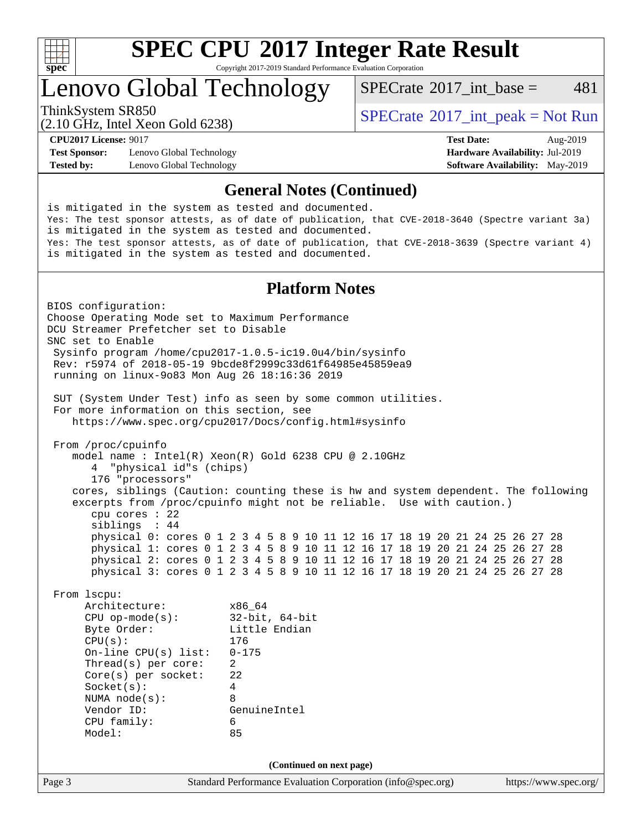

Copyright 2017-2019 Standard Performance Evaluation Corporation

## Lenovo Global Technology

[SPECrate](http://www.spec.org/auto/cpu2017/Docs/result-fields.html#SPECrate2017intbase)<sup>®</sup>2017 int base =  $481$ 

(2.10 GHz, Intel Xeon Gold 6238)

ThinkSystem SR850<br>  $SPECTA = Not Run$ <br>  $SPECTA = Not Run$ 

**[Test Sponsor:](http://www.spec.org/auto/cpu2017/Docs/result-fields.html#TestSponsor)** Lenovo Global Technology **[Hardware Availability:](http://www.spec.org/auto/cpu2017/Docs/result-fields.html#HardwareAvailability)** Jul-2019 **[Tested by:](http://www.spec.org/auto/cpu2017/Docs/result-fields.html#Testedby)** Lenovo Global Technology **[Software Availability:](http://www.spec.org/auto/cpu2017/Docs/result-fields.html#SoftwareAvailability)** May-2019

**[CPU2017 License:](http://www.spec.org/auto/cpu2017/Docs/result-fields.html#CPU2017License)** 9017 **[Test Date:](http://www.spec.org/auto/cpu2017/Docs/result-fields.html#TestDate)** Aug-2019

#### **[General Notes \(Continued\)](http://www.spec.org/auto/cpu2017/Docs/result-fields.html#GeneralNotes)**

Page 3 Standard Performance Evaluation Corporation [\(info@spec.org\)](mailto:info@spec.org) <https://www.spec.org/> is mitigated in the system as tested and documented. Yes: The test sponsor attests, as of date of publication, that CVE-2018-3640 (Spectre variant 3a) is mitigated in the system as tested and documented. Yes: The test sponsor attests, as of date of publication, that CVE-2018-3639 (Spectre variant 4) is mitigated in the system as tested and documented. **[Platform Notes](http://www.spec.org/auto/cpu2017/Docs/result-fields.html#PlatformNotes)** BIOS configuration: Choose Operating Mode set to Maximum Performance DCU Streamer Prefetcher set to Disable SNC set to Enable Sysinfo program /home/cpu2017-1.0.5-ic19.0u4/bin/sysinfo Rev: r5974 of 2018-05-19 9bcde8f2999c33d61f64985e45859ea9 running on linux-9o83 Mon Aug 26 18:16:36 2019 SUT (System Under Test) info as seen by some common utilities. For more information on this section, see <https://www.spec.org/cpu2017/Docs/config.html#sysinfo> From /proc/cpuinfo model name : Intel(R) Xeon(R) Gold 6238 CPU @ 2.10GHz 4 "physical id"s (chips) 176 "processors" cores, siblings (Caution: counting these is hw and system dependent. The following excerpts from /proc/cpuinfo might not be reliable. Use with caution.) cpu cores : 22 siblings : 44 physical 0: cores 0 1 2 3 4 5 8 9 10 11 12 16 17 18 19 20 21 24 25 26 27 28 physical 1: cores 0 1 2 3 4 5 8 9 10 11 12 16 17 18 19 20 21 24 25 26 27 28 physical 2: cores 0 1 2 3 4 5 8 9 10 11 12 16 17 18 19 20 21 24 25 26 27 28 physical 3: cores 0 1 2 3 4 5 8 9 10 11 12 16 17 18 19 20 21 24 25 26 27 28 From lscpu: Architecture: x86\_64 CPU op-mode(s): 32-bit, 64-bit Byte Order: Little Endian CPU(s): 176 On-line CPU(s) list: 0-175 Thread(s) per core: 2 Core(s) per socket: 22 Socket(s): 4 NUMA node(s): 8 Vendor ID: GenuineIntel CPU family: 6 Model: 85 **(Continued on next page)**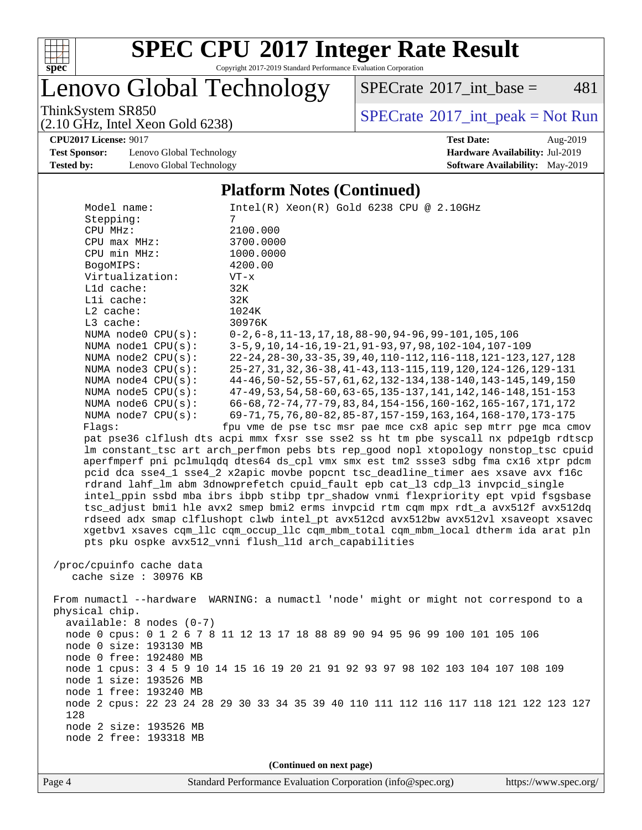

Copyright 2017-2019 Standard Performance Evaluation Corporation

Lenovo Global Technology

 $SPECTate$ <sup>®</sup>[2017\\_int\\_base =](http://www.spec.org/auto/cpu2017/Docs/result-fields.html#SPECrate2017intbase) 481

(2.10 GHz, Intel Xeon Gold 6238)

ThinkSystem SR850<br>  $(2.10 \text{ GHz. Intel Yoon Gold } 6238)$  [SPECrate](http://www.spec.org/auto/cpu2017/Docs/result-fields.html#SPECrate2017intpeak)®[2017\\_int\\_peak = N](http://www.spec.org/auto/cpu2017/Docs/result-fields.html#SPECrate2017intpeak)ot Run

**[CPU2017 License:](http://www.spec.org/auto/cpu2017/Docs/result-fields.html#CPU2017License)** 9017 **[Test Date:](http://www.spec.org/auto/cpu2017/Docs/result-fields.html#TestDate)** Aug-2019

**[Test Sponsor:](http://www.spec.org/auto/cpu2017/Docs/result-fields.html#TestSponsor)** Lenovo Global Technology **[Hardware Availability:](http://www.spec.org/auto/cpu2017/Docs/result-fields.html#HardwareAvailability)** Jul-2019 **[Tested by:](http://www.spec.org/auto/cpu2017/Docs/result-fields.html#Testedby)** Lenovo Global Technology **[Software Availability:](http://www.spec.org/auto/cpu2017/Docs/result-fields.html#SoftwareAvailability)** May-2019

#### **[Platform Notes \(Continued\)](http://www.spec.org/auto/cpu2017/Docs/result-fields.html#PlatformNotes)**

| Model name:                | $Intel(R) Xeon(R) Gold 6238 CPU @ 2.10GHz$                                                                                                    |
|----------------------------|-----------------------------------------------------------------------------------------------------------------------------------------------|
| Stepping:                  | 7                                                                                                                                             |
| CPU MHz:                   | 2100.000                                                                                                                                      |
| CPU max MHz:               | 3700.0000                                                                                                                                     |
| CPU min MHz:               | 1000.0000                                                                                                                                     |
| BogoMIPS:                  | 4200.00                                                                                                                                       |
| Virtualization:            | $VT - x$                                                                                                                                      |
| Lld cache:                 | 32K                                                                                                                                           |
| Lli cache:                 | 32K                                                                                                                                           |
| L2 cache:                  | 1024K                                                                                                                                         |
| L3 cache:                  | 30976K                                                                                                                                        |
| NUMA node0 CPU(s):         | $0-2, 6-8, 11-13, 17, 18, 88-90, 94-96, 99-101, 105, 106$                                                                                     |
| NUMA nodel CPU(s):         | 3-5, 9, 10, 14-16, 19-21, 91-93, 97, 98, 102-104, 107-109                                                                                     |
| NUMA $node2$ $CPU(s)$ :    | 22-24, 28-30, 33-35, 39, 40, 110-112, 116-118, 121-123, 127, 128                                                                              |
| NUMA node3 CPU(s):         | 25-27, 31, 32, 36-38, 41-43, 113-115, 119, 120, 124-126, 129-131                                                                              |
| NUMA node4 CPU(s):         | 44-46, 50-52, 55-57, 61, 62, 132-134, 138-140, 143-145, 149, 150                                                                              |
| NUMA $node5$ $CPU(s):$     | 47-49, 53, 54, 58-60, 63-65, 135-137, 141, 142, 146-148, 151-153                                                                              |
| NUMA node6 CPU(s):         | 66-68, 72-74, 77-79, 83, 84, 154-156, 160-162, 165-167, 171, 172                                                                              |
| NUMA node7 CPU(s):         | 69-71, 75, 76, 80-82, 85-87, 157-159, 163, 164, 168-170, 173-175                                                                              |
| Flags:                     | fpu vme de pse tsc msr pae mce cx8 apic sep mtrr pge mca cmov                                                                                 |
|                            | pat pse36 clflush dts acpi mmx fxsr sse sse2 ss ht tm pbe syscall nx pdpelgb rdtscp                                                           |
|                            | lm constant_tsc art arch_perfmon pebs bts rep_good nopl xtopology nonstop_tsc cpuid                                                           |
|                            | aperfmperf pni pclmulqdq dtes64 ds_cpl vmx smx est tm2 ssse3 sdbg fma cx16 xtpr pdcm                                                          |
|                            | pcid dca sse4_1 sse4_2 x2apic movbe popcnt tsc_deadline_timer aes xsave avx f16c                                                              |
|                            | rdrand lahf_lm abm 3dnowprefetch cpuid_fault epb cat_13 cdp_13 invpcid_single                                                                 |
|                            | intel_ppin ssbd mba ibrs ibpb stibp tpr_shadow vnmi flexpriority ept vpid fsgsbase                                                            |
|                            | tsc_adjust bmil hle avx2 smep bmi2 erms invpcid rtm cqm mpx rdt_a avx512f avx512dq                                                            |
|                            | rdseed adx smap clflushopt clwb intel_pt avx512cd avx512bw avx512vl xsaveopt xsavec                                                           |
|                            | xgetbvl xsaves cqm_llc cqm_occup_llc cqm_mbm_total cqm_mbm_local dtherm ida arat pln<br>pts pku ospke avx512_vnni flush_l1d arch_capabilities |
|                            |                                                                                                                                               |
| /proc/cpuinfo cache data   |                                                                                                                                               |
| cache size : 30976 KB      |                                                                                                                                               |
|                            |                                                                                                                                               |
|                            | From numactl --hardware WARNING: a numactl 'node' might or might not correspond to a                                                          |
| physical chip.             |                                                                                                                                               |
| $available: 8 nodes (0-7)$ |                                                                                                                                               |
|                            | node 0 cpus: 0 1 2 6 7 8 11 12 13 17 18 88 89 90 94 95 96 99 100 101 105 106                                                                  |
| node 0 size: 193130 MB     |                                                                                                                                               |
| node 0 free: 192480 MB     |                                                                                                                                               |
|                            | node 1 cpus: 3 4 5 9 10 14 15 16 19 20 21 91 92 93 97 98 102 103 104 107 108 109                                                              |
| node 1 size: 193526 MB     |                                                                                                                                               |
| node 1 free: 193240 MB     |                                                                                                                                               |
| 128                        | node 2 cpus: 22 23 24 28 29 30 33 34 35 39 40 110 111 112 116 117 118 121 122 123 127                                                         |
| node 2 size: 193526 MB     |                                                                                                                                               |
| node 2 free: 193318 MB     |                                                                                                                                               |
|                            |                                                                                                                                               |
|                            | (Continued on next page)                                                                                                                      |
|                            |                                                                                                                                               |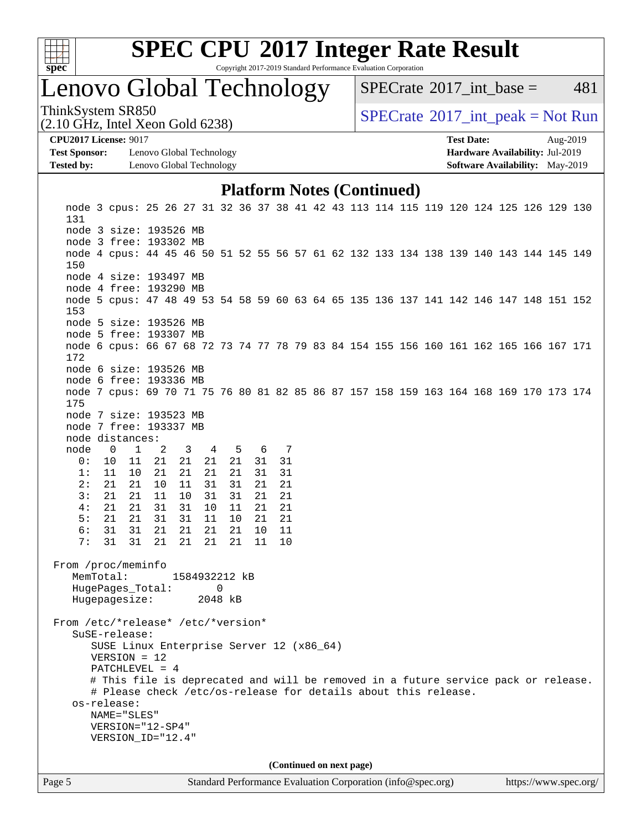

Copyright 2017-2019 Standard Performance Evaluation Corporation

# Lenovo Global Technology

[SPECrate](http://www.spec.org/auto/cpu2017/Docs/result-fields.html#SPECrate2017intbase)<sup>®</sup>2017 int base =  $481$ 

ThinkSystem SR850<br>  $SPECTR_{10}$  [SPECrate](http://www.spec.org/auto/cpu2017/Docs/result-fields.html#SPECrate2017intpeak)®[2017\\_int\\_peak = N](http://www.spec.org/auto/cpu2017/Docs/result-fields.html#SPECrate2017intpeak)ot Run

**[Test Sponsor:](http://www.spec.org/auto/cpu2017/Docs/result-fields.html#TestSponsor)** Lenovo Global Technology **[Hardware Availability:](http://www.spec.org/auto/cpu2017/Docs/result-fields.html#HardwareAvailability)** Jul-2019 **[Tested by:](http://www.spec.org/auto/cpu2017/Docs/result-fields.html#Testedby)** Lenovo Global Technology **[Software Availability:](http://www.spec.org/auto/cpu2017/Docs/result-fields.html#SoftwareAvailability)** May-2019

(2.10 GHz, Intel Xeon Gold 6238)

**[CPU2017 License:](http://www.spec.org/auto/cpu2017/Docs/result-fields.html#CPU2017License)** 9017 **[Test Date:](http://www.spec.org/auto/cpu2017/Docs/result-fields.html#TestDate)** Aug-2019

#### **[Platform Notes \(Continued\)](http://www.spec.org/auto/cpu2017/Docs/result-fields.html#PlatformNotes)**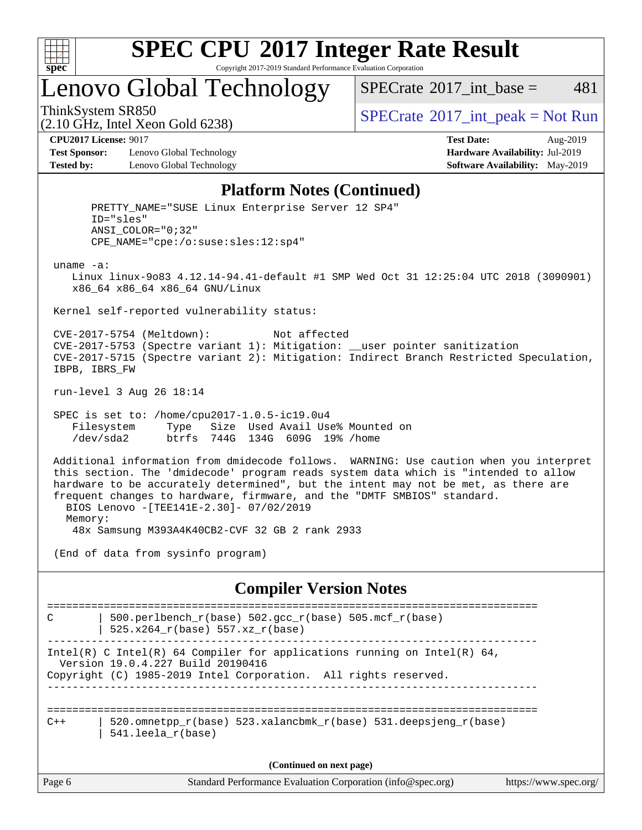

Copyright 2017-2019 Standard Performance Evaluation Corporation

Lenovo Global Technology

 $SPECTate^{\circledast}2017$  int base = 481

(2.10 GHz, Intel Xeon Gold 6238)

ThinkSystem SR850<br>  $SPECTR_{10}$  [SPECrate](http://www.spec.org/auto/cpu2017/Docs/result-fields.html#SPECrate2017intpeak)®[2017\\_int\\_peak = N](http://www.spec.org/auto/cpu2017/Docs/result-fields.html#SPECrate2017intpeak)ot Run

**[Test Sponsor:](http://www.spec.org/auto/cpu2017/Docs/result-fields.html#TestSponsor)** Lenovo Global Technology **[Hardware Availability:](http://www.spec.org/auto/cpu2017/Docs/result-fields.html#HardwareAvailability)** Jul-2019 **[Tested by:](http://www.spec.org/auto/cpu2017/Docs/result-fields.html#Testedby)** Lenovo Global Technology **[Software Availability:](http://www.spec.org/auto/cpu2017/Docs/result-fields.html#SoftwareAvailability)** May-2019

**[CPU2017 License:](http://www.spec.org/auto/cpu2017/Docs/result-fields.html#CPU2017License)** 9017 **[Test Date:](http://www.spec.org/auto/cpu2017/Docs/result-fields.html#TestDate)** Aug-2019

#### **[Platform Notes \(Continued\)](http://www.spec.org/auto/cpu2017/Docs/result-fields.html#PlatformNotes)**

Page 6 Standard Performance Evaluation Corporation [\(info@spec.org\)](mailto:info@spec.org) <https://www.spec.org/> PRETTY\_NAME="SUSE Linux Enterprise Server 12 SP4" ID="sles" ANSI\_COLOR="0;32" CPE\_NAME="cpe:/o:suse:sles:12:sp4" uname -a: Linux linux-9o83 4.12.14-94.41-default #1 SMP Wed Oct 31 12:25:04 UTC 2018 (3090901) x86\_64 x86\_64 x86\_64 GNU/Linux Kernel self-reported vulnerability status: CVE-2017-5754 (Meltdown): Not affected CVE-2017-5753 (Spectre variant 1): Mitigation: \_\_user pointer sanitization CVE-2017-5715 (Spectre variant 2): Mitigation: Indirect Branch Restricted Speculation, IBPB, IBRS\_FW run-level 3 Aug 26 18:14 SPEC is set to: /home/cpu2017-1.0.5-ic19.0u4 Filesystem Type Size Used Avail Use% Mounted on /dev/sda2 btrfs 744G 134G 609G 19% /home Additional information from dmidecode follows. WARNING: Use caution when you interpret this section. The 'dmidecode' program reads system data which is "intended to allow hardware to be accurately determined", but the intent may not be met, as there are frequent changes to hardware, firmware, and the "DMTF SMBIOS" standard. BIOS Lenovo -[TEE141E-2.30]- 07/02/2019 Memory: 48x Samsung M393A4K40CB2-CVF 32 GB 2 rank 2933 (End of data from sysinfo program) **[Compiler Version Notes](http://www.spec.org/auto/cpu2017/Docs/result-fields.html#CompilerVersionNotes)** ============================================================================== C | 500.perlbench\_r(base)  $502.\text{gcc_r(base)}$  505.mcf\_r(base) | 525.x264\_r(base) 557.xz\_r(base) ------------------------------------------------------------------------------ Intel(R) C Intel(R) 64 Compiler for applications running on Intel(R)  $64$ , Version 19.0.4.227 Build 20190416 Copyright (C) 1985-2019 Intel Corporation. All rights reserved. ------------------------------------------------------------------------------ ==============================================================================  $C++$  | 520.omnetpp\_r(base) 523.xalancbmk\_r(base) 531.deepsjeng\_r(base) | 541.leela\_r(base) **(Continued on next page)**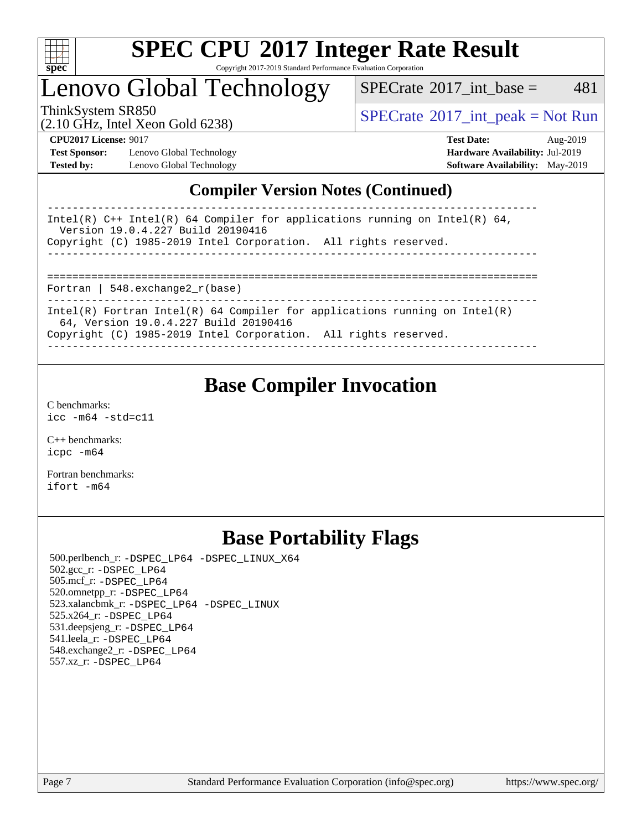

Copyright 2017-2019 Standard Performance Evaluation Corporation

## Lenovo Global Technology

 $SPECTate$ <sup>®</sup>[2017\\_int\\_base =](http://www.spec.org/auto/cpu2017/Docs/result-fields.html#SPECrate2017intbase) 481

(2.10 GHz, Intel Xeon Gold 6238)

ThinkSystem SR850<br>  $\begin{array}{c}\n\text{SPECTate} \textcircled{2017\_int\_peak} = \text{Not Run} \\
\text{SPECTate} \textcircled{2017\_int\_peak} = \text{Not Run} \\
\end{array}$ 

**[Test Sponsor:](http://www.spec.org/auto/cpu2017/Docs/result-fields.html#TestSponsor)** Lenovo Global Technology **[Hardware Availability:](http://www.spec.org/auto/cpu2017/Docs/result-fields.html#HardwareAvailability)** Jul-2019 **[Tested by:](http://www.spec.org/auto/cpu2017/Docs/result-fields.html#Testedby)** Lenovo Global Technology **[Software Availability:](http://www.spec.org/auto/cpu2017/Docs/result-fields.html#SoftwareAvailability)** May-2019

**[CPU2017 License:](http://www.spec.org/auto/cpu2017/Docs/result-fields.html#CPU2017License)** 9017 **[Test Date:](http://www.spec.org/auto/cpu2017/Docs/result-fields.html#TestDate)** Aug-2019

### **[Compiler Version Notes \(Continued\)](http://www.spec.org/auto/cpu2017/Docs/result-fields.html#CompilerVersionNotes)**

| Intel(R) C++ Intel(R) 64 Compiler for applications running on Intel(R) 64,<br>Version 19.0.4.227 Build 20190416     |
|---------------------------------------------------------------------------------------------------------------------|
| Copyright (C) 1985-2019 Intel Corporation. All rights reserved.                                                     |
|                                                                                                                     |
|                                                                                                                     |
|                                                                                                                     |
| Fortran   548.exchange2 $r(base)$                                                                                   |
|                                                                                                                     |
| Intel(R) Fortran Intel(R) 64 Compiler for applications running on Intel(R)<br>64, Version 19.0.4.227 Build 20190416 |
| Copyright (C) 1985-2019 Intel Corporation. All rights reserved.                                                     |
|                                                                                                                     |

### **[Base Compiler Invocation](http://www.spec.org/auto/cpu2017/Docs/result-fields.html#BaseCompilerInvocation)**

[C benchmarks](http://www.spec.org/auto/cpu2017/Docs/result-fields.html#Cbenchmarks): [icc -m64 -std=c11](http://www.spec.org/cpu2017/results/res2019q3/cpu2017-20190903-17633.flags.html#user_CCbase_intel_icc_64bit_c11_33ee0cdaae7deeeab2a9725423ba97205ce30f63b9926c2519791662299b76a0318f32ddfffdc46587804de3178b4f9328c46fa7c2b0cd779d7a61945c91cd35)

[C++ benchmarks:](http://www.spec.org/auto/cpu2017/Docs/result-fields.html#CXXbenchmarks) [icpc -m64](http://www.spec.org/cpu2017/results/res2019q3/cpu2017-20190903-17633.flags.html#user_CXXbase_intel_icpc_64bit_4ecb2543ae3f1412ef961e0650ca070fec7b7afdcd6ed48761b84423119d1bf6bdf5cad15b44d48e7256388bc77273b966e5eb805aefd121eb22e9299b2ec9d9)

[Fortran benchmarks](http://www.spec.org/auto/cpu2017/Docs/result-fields.html#Fortranbenchmarks): [ifort -m64](http://www.spec.org/cpu2017/results/res2019q3/cpu2017-20190903-17633.flags.html#user_FCbase_intel_ifort_64bit_24f2bb282fbaeffd6157abe4f878425411749daecae9a33200eee2bee2fe76f3b89351d69a8130dd5949958ce389cf37ff59a95e7a40d588e8d3a57e0c3fd751)

### **[Base Portability Flags](http://www.spec.org/auto/cpu2017/Docs/result-fields.html#BasePortabilityFlags)**

 500.perlbench\_r: [-DSPEC\\_LP64](http://www.spec.org/cpu2017/results/res2019q3/cpu2017-20190903-17633.flags.html#b500.perlbench_r_basePORTABILITY_DSPEC_LP64) [-DSPEC\\_LINUX\\_X64](http://www.spec.org/cpu2017/results/res2019q3/cpu2017-20190903-17633.flags.html#b500.perlbench_r_baseCPORTABILITY_DSPEC_LINUX_X64) 502.gcc\_r: [-DSPEC\\_LP64](http://www.spec.org/cpu2017/results/res2019q3/cpu2017-20190903-17633.flags.html#suite_basePORTABILITY502_gcc_r_DSPEC_LP64) 505.mcf\_r: [-DSPEC\\_LP64](http://www.spec.org/cpu2017/results/res2019q3/cpu2017-20190903-17633.flags.html#suite_basePORTABILITY505_mcf_r_DSPEC_LP64) 520.omnetpp\_r: [-DSPEC\\_LP64](http://www.spec.org/cpu2017/results/res2019q3/cpu2017-20190903-17633.flags.html#suite_basePORTABILITY520_omnetpp_r_DSPEC_LP64) 523.xalancbmk\_r: [-DSPEC\\_LP64](http://www.spec.org/cpu2017/results/res2019q3/cpu2017-20190903-17633.flags.html#suite_basePORTABILITY523_xalancbmk_r_DSPEC_LP64) [-DSPEC\\_LINUX](http://www.spec.org/cpu2017/results/res2019q3/cpu2017-20190903-17633.flags.html#b523.xalancbmk_r_baseCXXPORTABILITY_DSPEC_LINUX) 525.x264\_r: [-DSPEC\\_LP64](http://www.spec.org/cpu2017/results/res2019q3/cpu2017-20190903-17633.flags.html#suite_basePORTABILITY525_x264_r_DSPEC_LP64) 531.deepsjeng\_r: [-DSPEC\\_LP64](http://www.spec.org/cpu2017/results/res2019q3/cpu2017-20190903-17633.flags.html#suite_basePORTABILITY531_deepsjeng_r_DSPEC_LP64) 541.leela\_r: [-DSPEC\\_LP64](http://www.spec.org/cpu2017/results/res2019q3/cpu2017-20190903-17633.flags.html#suite_basePORTABILITY541_leela_r_DSPEC_LP64) 548.exchange2\_r: [-DSPEC\\_LP64](http://www.spec.org/cpu2017/results/res2019q3/cpu2017-20190903-17633.flags.html#suite_basePORTABILITY548_exchange2_r_DSPEC_LP64) 557.xz\_r: [-DSPEC\\_LP64](http://www.spec.org/cpu2017/results/res2019q3/cpu2017-20190903-17633.flags.html#suite_basePORTABILITY557_xz_r_DSPEC_LP64)